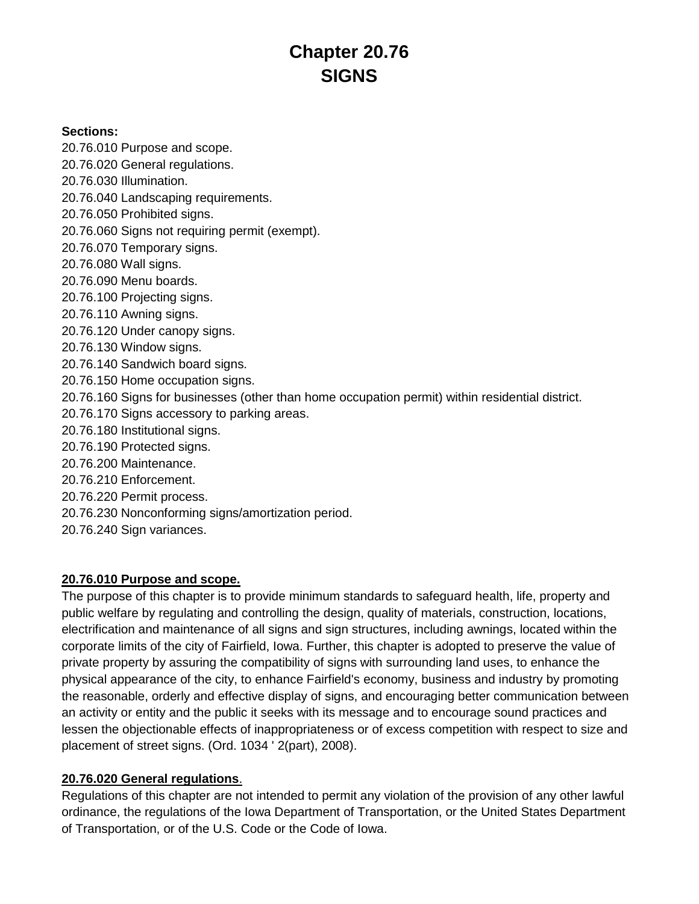# **Chapter 20.76 SIGNS**

#### **Sections:**

20.76.010 Purpose and scope.

- 20.76.020 General regulations.
- 20.76.030 Illumination.
- 20.76.040 Landscaping requirements.
- 20.76.050 Prohibited signs.
- 20.76.060 Signs not requiring permit (exempt).
- 20.76.070 Temporary signs.
- 20.76.080 Wall signs.
- 20.76.090 Menu boards.
- 20.76.100 Projecting signs.
- 20.76.110 Awning signs.
- 20.76.120 Under canopy signs.
- 20.76.130 Window signs.
- 20.76.140 Sandwich board signs.
- 20.76.150 Home occupation signs.
- 20.76.160 Signs for businesses (other than home occupation permit) within residential district.
- 20.76.170 Signs accessory to parking areas.
- 20.76.180 Institutional signs.
- 20.76.190 Protected signs.
- 20.76.200 Maintenance.
- 20.76.210 Enforcement.
- 20.76.220 Permit process.
- 20.76.230 Nonconforming signs/amortization period.
- 20.76.240 Sign variances.

# **20.76.010 Purpose and scope.**

The purpose of this chapter is to provide minimum standards to safeguard health, life, property and public welfare by regulating and controlling the design, quality of materials, construction, locations, electrification and maintenance of all signs and sign structures, including awnings, located within the corporate limits of the city of Fairfield, Iowa. Further, this chapter is adopted to preserve the value of private property by assuring the compatibility of signs with surrounding land uses, to enhance the physical appearance of the city, to enhance Fairfield's economy, business and industry by promoting the reasonable, orderly and effective display of signs, and encouraging better communication between an activity or entity and the public it seeks with its message and to encourage sound practices and lessen the objectionable effects of inappropriateness or of excess competition with respect to size and placement of street signs. (Ord. 1034 ' 2(part), 2008).

## **20.76.020 General regulations**.

Regulations of this chapter are not intended to permit any violation of the provision of any other lawful ordinance, the regulations of the Iowa Department of Transportation, or the United States Department of Transportation, or of the U.S. Code or the Code of Iowa.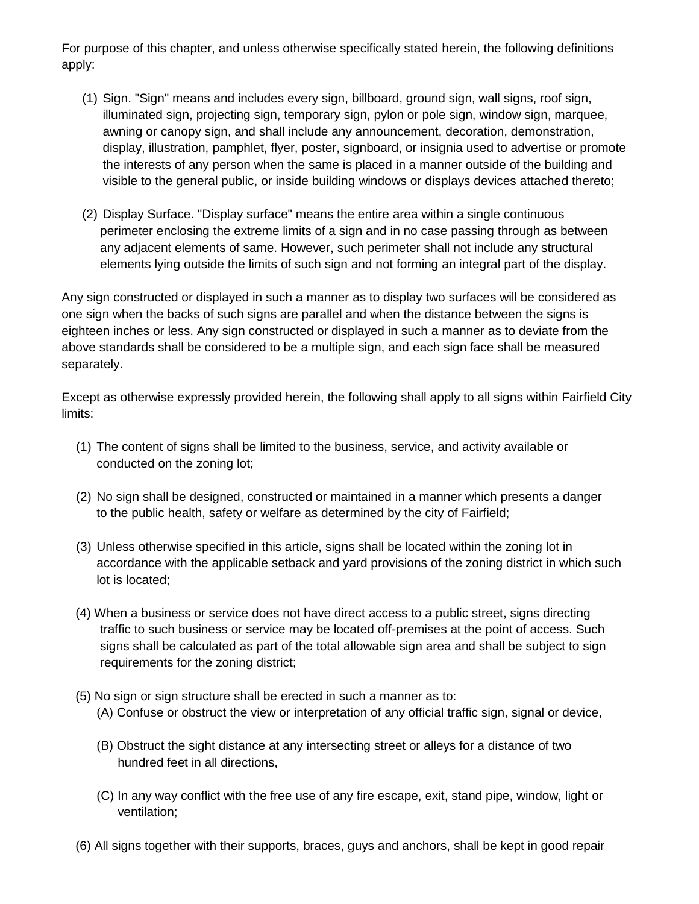For purpose of this chapter, and unless otherwise specifically stated herein, the following definitions apply:

- (1) Sign. "Sign" means and includes every sign, billboard, ground sign, wall signs, roof sign, illuminated sign, projecting sign, temporary sign, pylon or pole sign, window sign, marquee, awning or canopy sign, and shall include any announcement, decoration, demonstration, display, illustration, pamphlet, flyer, poster, signboard, or insignia used to advertise or promote the interests of any person when the same is placed in a manner outside of the building and visible to the general public, or inside building windows or displays devices attached thereto;
- (2) Display Surface. "Display surface" means the entire area within a single continuous perimeter enclosing the extreme limits of a sign and in no case passing through as between any adjacent elements of same. However, such perimeter shall not include any structural elements lying outside the limits of such sign and not forming an integral part of the display.

Any sign constructed or displayed in such a manner as to display two surfaces will be considered as one sign when the backs of such signs are parallel and when the distance between the signs is eighteen inches or less. Any sign constructed or displayed in such a manner as to deviate from the above standards shall be considered to be a multiple sign, and each sign face shall be measured separately.

Except as otherwise expressly provided herein, the following shall apply to all signs within Fairfield City limits:

- (1) The content of signs shall be limited to the business, service, and activity available or conducted on the zoning lot;
- (2) No sign shall be designed, constructed or maintained in a manner which presents a danger to the public health, safety or welfare as determined by the city of Fairfield;
- (3) Unless otherwise specified in this article, signs shall be located within the zoning lot in accordance with the applicable setback and yard provisions of the zoning district in which such lot is located;
- (4) When a business or service does not have direct access to a public street, signs directing traffic to such business or service may be located off-premises at the point of access. Such signs shall be calculated as part of the total allowable sign area and shall be subject to sign requirements for the zoning district;
- (5) No sign or sign structure shall be erected in such a manner as to:
	- (A) Confuse or obstruct the view or interpretation of any official traffic sign, signal or device,
	- (B) Obstruct the sight distance at any intersecting street or alleys for a distance of two hundred feet in all directions,
	- (C) In any way conflict with the free use of any fire escape, exit, stand pipe, window, light or ventilation;
- (6) All signs together with their supports, braces, guys and anchors, shall be kept in good repair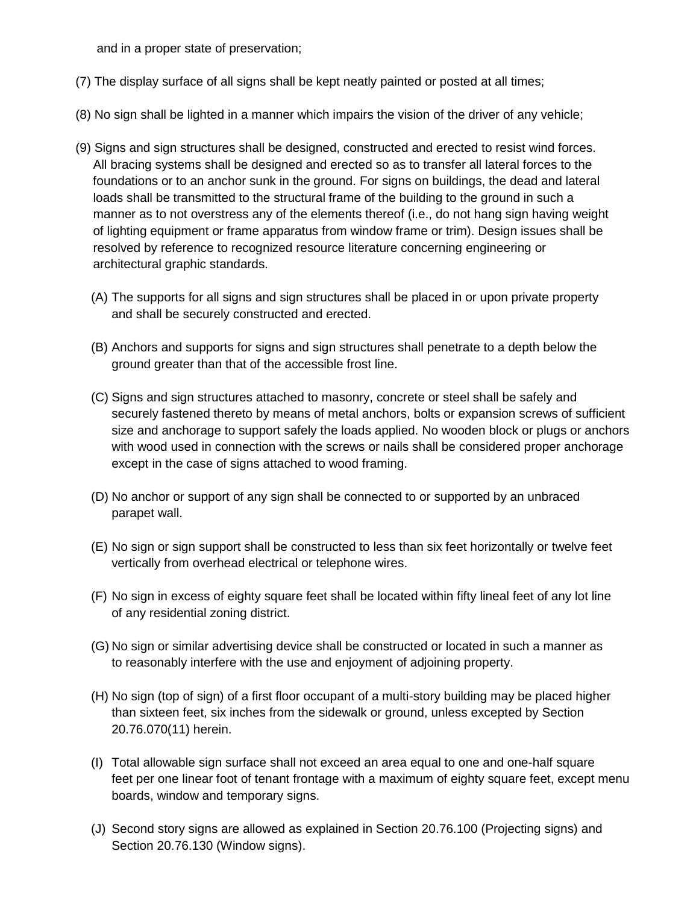and in a proper state of preservation;

- (7) The display surface of all signs shall be kept neatly painted or posted at all times;
- (8) No sign shall be lighted in a manner which impairs the vision of the driver of any vehicle;
- (9) Signs and sign structures shall be designed, constructed and erected to resist wind forces. All bracing systems shall be designed and erected so as to transfer all lateral forces to the foundations or to an anchor sunk in the ground. For signs on buildings, the dead and lateral loads shall be transmitted to the structural frame of the building to the ground in such a manner as to not overstress any of the elements thereof (i.e., do not hang sign having weight of lighting equipment or frame apparatus from window frame or trim). Design issues shall be resolved by reference to recognized resource literature concerning engineering or architectural graphic standards.
	- (A) The supports for all signs and sign structures shall be placed in or upon private property and shall be securely constructed and erected.
	- (B) Anchors and supports for signs and sign structures shall penetrate to a depth below the ground greater than that of the accessible frost line.
	- (C) Signs and sign structures attached to masonry, concrete or steel shall be safely and securely fastened thereto by means of metal anchors, bolts or expansion screws of sufficient size and anchorage to support safely the loads applied. No wooden block or plugs or anchors with wood used in connection with the screws or nails shall be considered proper anchorage except in the case of signs attached to wood framing.
	- (D) No anchor or support of any sign shall be connected to or supported by an unbraced parapet wall.
	- (E) No sign or sign support shall be constructed to less than six feet horizontally or twelve feet vertically from overhead electrical or telephone wires.
	- (F) No sign in excess of eighty square feet shall be located within fifty lineal feet of any lot line of any residential zoning district.
	- (G) No sign or similar advertising device shall be constructed or located in such a manner as to reasonably interfere with the use and enjoyment of adjoining property.
	- (H) No sign (top of sign) of a first floor occupant of a multi-story building may be placed higher than sixteen feet, six inches from the sidewalk or ground, unless excepted by Section 20.76.070(11) herein.
	- (I) Total allowable sign surface shall not exceed an area equal to one and one-half square feet per one linear foot of tenant frontage with a maximum of eighty square feet, except menu boards, window and temporary signs.
	- (J) Second story signs are allowed as explained in Section 20.76.100 (Projecting signs) and Section 20.76.130 (Window signs).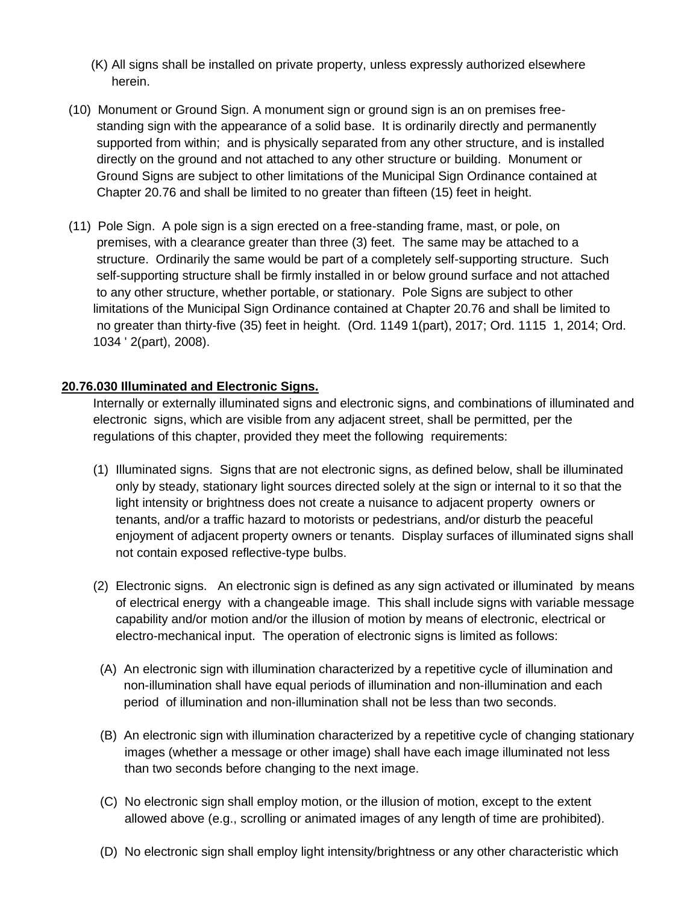- (K) All signs shall be installed on private property, unless expressly authorized elsewhere herein.
- (10) Monument or Ground Sign. A monument sign or ground sign is an on premises free standing sign with the appearance of a solid base. It is ordinarily directly and permanently supported from within; and is physically separated from any other structure, and is installed directly on the ground and not attached to any other structure or building. Monument or Ground Signs are subject to other limitations of the Municipal Sign Ordinance contained at Chapter 20.76 and shall be limited to no greater than fifteen (15) feet in height.
- (11) Pole Sign. A pole sign is a sign erected on a free-standing frame, mast, or pole, on premises, with a clearance greater than three (3) feet. The same may be attached to a structure. Ordinarily the same would be part of a completely self-supporting structure. Such self-supporting structure shall be firmly installed in or below ground surface and not attached to any other structure, whether portable, or stationary. Pole Signs are subject to other limitations of the Municipal Sign Ordinance contained at Chapter 20.76 and shall be limited to no greater than thirty-five (35) feet in height. (Ord. 1149 1(part), 2017; Ord. 1115 1, 2014; Ord. 1034 ' 2(part), 2008).

## **20.76.030 Illuminated and Electronic Signs.**

Internally or externally illuminated signs and electronic signs, and combinations of illuminated and electronic signs, which are visible from any adjacent street, shall be permitted, per the regulations of this chapter, provided they meet the following requirements:

- (1) Illuminated signs. Signs that are not electronic signs, as defined below, shall be illuminated only by steady, stationary light sources directed solely at the sign or internal to it so that the light intensity or brightness does not create a nuisance to adjacent property owners or tenants, and/or a traffic hazard to motorists or pedestrians, and/or disturb the peaceful enjoyment of adjacent property owners or tenants. Display surfaces of illuminated signs shall not contain exposed reflective-type bulbs.
- (2) Electronic signs. An electronic sign is defined as any sign activated or illuminated by means of electrical energy with a changeable image. This shall include signs with variable message capability and/or motion and/or the illusion of motion by means of electronic, electrical or electro-mechanical input. The operation of electronic signs is limited as follows:
- (A) An electronic sign with illumination characterized by a repetitive cycle of illumination and non-illumination shall have equal periods of illumination and non-illumination and each period of illumination and non-illumination shall not be less than two seconds.
- (B) An electronic sign with illumination characterized by a repetitive cycle of changing stationary images (whether a message or other image) shall have each image illuminated not less than two seconds before changing to the next image.
- (C) No electronic sign shall employ motion, or the illusion of motion, except to the extent allowed above (e.g., scrolling or animated images of any length of time are prohibited).
- (D) No electronic sign shall employ light intensity/brightness or any other characteristic which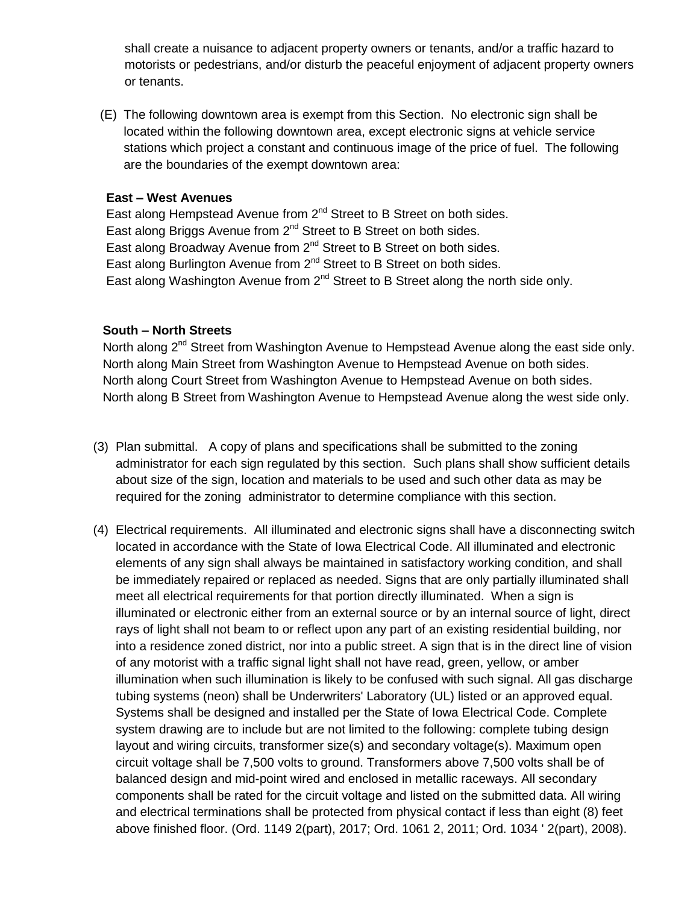shall create a nuisance to adjacent property owners or tenants, and/or a traffic hazard to motorists or pedestrians, and/or disturb the peaceful enjoyment of adjacent property owners or tenants.

 (E) The following downtown area is exempt from this Section. No electronic sign shall be located within the following downtown area, except electronic signs at vehicle service stations which project a constant and continuous image of the price of fuel. The following are the boundaries of the exempt downtown area:

#### **East – West Avenues**

East along Hempstead Avenue from  $2^{nd}$  Street to B Street on both sides. East along Briggs Avenue from  $2^{nd}$  Street to B Street on both sides. East along Broadway Avenue from  $2^{nd}$  Street to B Street on both sides. East along Burlington Avenue from 2<sup>nd</sup> Street to B Street on both sides. East along Washington Avenue from  $2^{nd}$  Street to B Street along the north side only.

#### **South – North Streets**

North along 2<sup>nd</sup> Street from Washington Avenue to Hempstead Avenue along the east side only. North along Main Street from Washington Avenue to Hempstead Avenue on both sides. North along Court Street from Washington Avenue to Hempstead Avenue on both sides. North along B Street from Washington Avenue to Hempstead Avenue along the west side only.

- (3) Plan submittal. A copy of plans and specifications shall be submitted to the zoning administrator for each sign regulated by this section. Such plans shall show sufficient details about size of the sign, location and materials to be used and such other data as may be required for the zoning administrator to determine compliance with this section.
- (4) Electrical requirements. All illuminated and electronic signs shall have a disconnecting switch located in accordance with the State of Iowa Electrical Code. All illuminated and electronic elements of any sign shall always be maintained in satisfactory working condition, and shall be immediately repaired or replaced as needed. Signs that are only partially illuminated shall meet all electrical requirements for that portion directly illuminated. When a sign is illuminated or electronic either from an external source or by an internal source of light, direct rays of light shall not beam to or reflect upon any part of an existing residential building, nor into a residence zoned district, nor into a public street. A sign that is in the direct line of vision of any motorist with a traffic signal light shall not have read, green, yellow, or amber illumination when such illumination is likely to be confused with such signal. All gas discharge tubing systems (neon) shall be Underwriters' Laboratory (UL) listed or an approved equal. Systems shall be designed and installed per the State of Iowa Electrical Code. Complete system drawing are to include but are not limited to the following: complete tubing design layout and wiring circuits, transformer size(s) and secondary voltage(s). Maximum open circuit voltage shall be 7,500 volts to ground. Transformers above 7,500 volts shall be of balanced design and mid-point wired and enclosed in metallic raceways. All secondary components shall be rated for the circuit voltage and listed on the submitted data. All wiring and electrical terminations shall be protected from physical contact if less than eight (8) feet above finished floor. (Ord. 1149 2(part), 2017; Ord. 1061 2, 2011; Ord. 1034 ' 2(part), 2008).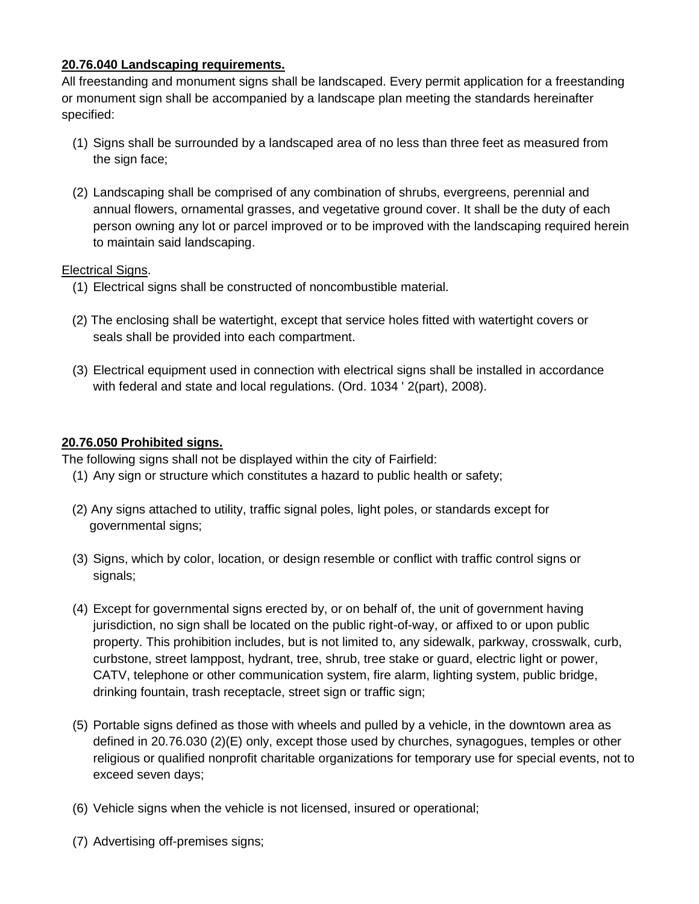## **20.76.040 Landscaping requirements.**

All freestanding and monument signs shall be landscaped. Every permit application for a freestanding or monument sign shall be accompanied by a landscape plan meeting the standards hereinafter specified:

- (1) Signs shall be surrounded by a landscaped area of no less than three feet as measured from the sign face;
- (2) Landscaping shall be comprised of any combination of shrubs, evergreens, perennial and annual flowers, ornamental grasses, and vegetative ground cover. It shall be the duty of each person owning any lot or parcel improved or to be improved with the landscaping required herein to maintain said landscaping.

#### Electrical Signs.

- (1) Electrical signs shall be constructed of noncombustible material.
- (2) The enclosing shall be watertight, except that service holes fitted with watertight covers or seals shall be provided into each compartment.
- (3) Electrical equipment used in connection with electrical signs shall be installed in accordance with federal and state and local regulations. (Ord. 1034 ' 2(part), 2008).

## **20.76.050 Prohibited signs.**

The following signs shall not be displayed within the city of Fairfield:

- (1) Any sign or structure which constitutes a hazard to public health or safety;
- (2) Any signs attached to utility, traffic signal poles, light poles, or standards except for governmental signs;
- (3) Signs, which by color, location, or design resemble or conflict with traffic control signs or signals;
- (4) Except for governmental signs erected by, or on behalf of, the unit of government having jurisdiction, no sign shall be located on the public right-of-way, or affixed to or upon public property. This prohibition includes, but is not limited to, any sidewalk, parkway, crosswalk, curb, curbstone, street lamppost, hydrant, tree, shrub, tree stake or guard, electric light or power, CATV, telephone or other communication system, fire alarm, lighting system, public bridge, drinking fountain, trash receptacle, street sign or traffic sign;
- (5) Portable signs defined as those with wheels and pulled by a vehicle, in the downtown area as defined in 20.76.030 (2)(E) only, except those used by churches, synagogues, temples or other religious or qualified nonprofit charitable organizations for temporary use for special events, not to exceed seven days;
- (6) Vehicle signs when the vehicle is not licensed, insured or operational;
- (7) Advertising off-premises signs;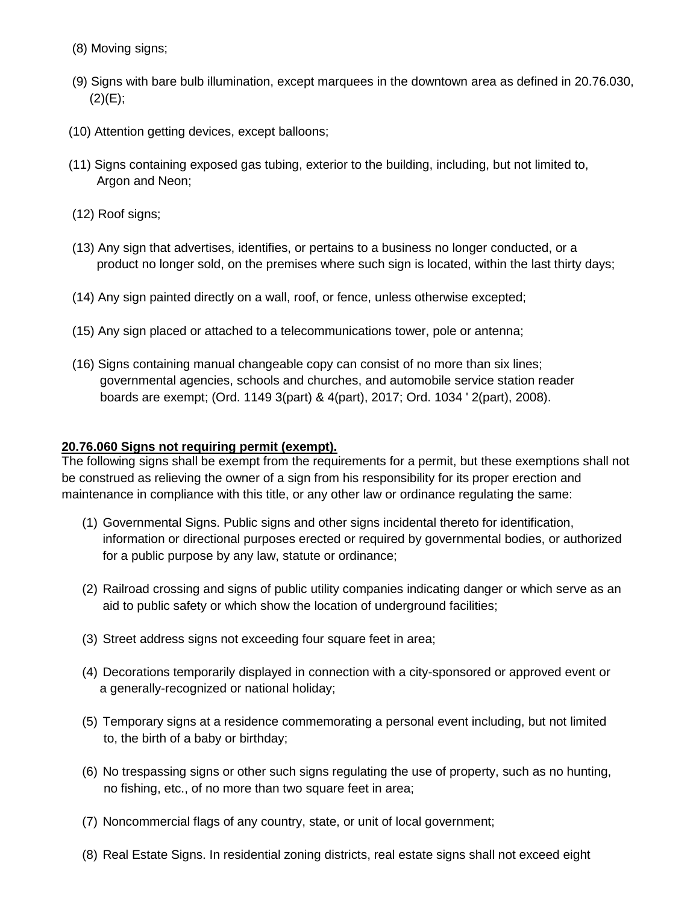- (8) Moving signs;
- (9) Signs with bare bulb illumination, except marquees in the downtown area as defined in 20.76.030,  $(2)(E);$
- (10) Attention getting devices, except balloons;
- (11) Signs containing exposed gas tubing, exterior to the building, including, but not limited to, Argon and Neon;
- (12) Roof signs;
- (13) Any sign that advertises, identifies, or pertains to a business no longer conducted, or a product no longer sold, on the premises where such sign is located, within the last thirty days;
- (14) Any sign painted directly on a wall, roof, or fence, unless otherwise excepted;
- (15) Any sign placed or attached to a telecommunications tower, pole or antenna;
- (16) Signs containing manual changeable copy can consist of no more than six lines; governmental agencies, schools and churches, and automobile service station reader boards are exempt; (Ord. 1149 3(part) & 4(part), 2017; Ord. 1034 ' 2(part), 2008).

#### **20.76.060 Signs not requiring permit (exempt).**

The following signs shall be exempt from the requirements for a permit, but these exemptions shall not be construed as relieving the owner of a sign from his responsibility for its proper erection and maintenance in compliance with this title, or any other law or ordinance regulating the same:

- (1) Governmental Signs. Public signs and other signs incidental thereto for identification, information or directional purposes erected or required by governmental bodies, or authorized for a public purpose by any law, statute or ordinance;
- (2) Railroad crossing and signs of public utility companies indicating danger or which serve as an aid to public safety or which show the location of underground facilities;
- (3) Street address signs not exceeding four square feet in area;
- (4) Decorations temporarily displayed in connection with a city-sponsored or approved event or a generally-recognized or national holiday;
- (5) Temporary signs at a residence commemorating a personal event including, but not limited to, the birth of a baby or birthday;
- (6) No trespassing signs or other such signs regulating the use of property, such as no hunting, no fishing, etc., of no more than two square feet in area;
- (7) Noncommercial flags of any country, state, or unit of local government;
- (8) Real Estate Signs. In residential zoning districts, real estate signs shall not exceed eight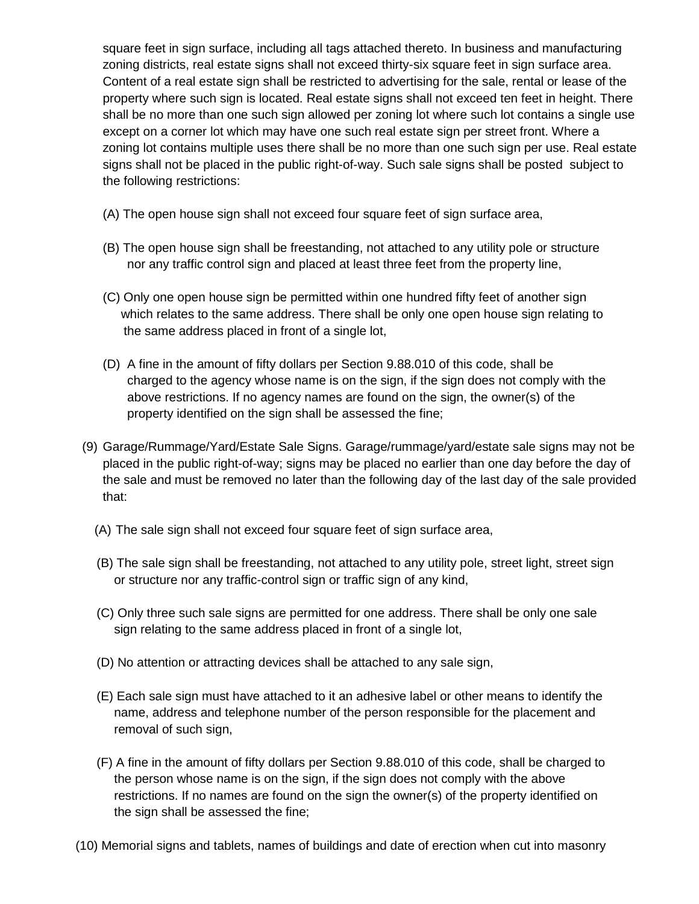square feet in sign surface, including all tags attached thereto. In business and manufacturing zoning districts, real estate signs shall not exceed thirty-six square feet in sign surface area. Content of a real estate sign shall be restricted to advertising for the sale, rental or lease of the property where such sign is located. Real estate signs shall not exceed ten feet in height. There shall be no more than one such sign allowed per zoning lot where such lot contains a single use except on a corner lot which may have one such real estate sign per street front. Where a zoning lot contains multiple uses there shall be no more than one such sign per use. Real estate signs shall not be placed in the public right-of-way. Such sale signs shall be posted subject to the following restrictions:

- (A) The open house sign shall not exceed four square feet of sign surface area,
- (B) The open house sign shall be freestanding, not attached to any utility pole or structure nor any traffic control sign and placed at least three feet from the property line,
- (C) Only one open house sign be permitted within one hundred fifty feet of another sign which relates to the same address. There shall be only one open house sign relating to the same address placed in front of a single lot,
- (D) A fine in the amount of fifty dollars per Section 9.88.010 of this code, shall be charged to the agency whose name is on the sign, if the sign does not comply with the above restrictions. If no agency names are found on the sign, the owner(s) of the property identified on the sign shall be assessed the fine;
- (9) Garage/Rummage/Yard/Estate Sale Signs. Garage/rummage/yard/estate sale signs may not be placed in the public right-of-way; signs may be placed no earlier than one day before the day of the sale and must be removed no later than the following day of the last day of the sale provided that:
	- (A) The sale sign shall not exceed four square feet of sign surface area,
	- (B) The sale sign shall be freestanding, not attached to any utility pole, street light, street sign or structure nor any traffic-control sign or traffic sign of any kind,
	- (C) Only three such sale signs are permitted for one address. There shall be only one sale sign relating to the same address placed in front of a single lot,
	- (D) No attention or attracting devices shall be attached to any sale sign,
	- (E) Each sale sign must have attached to it an adhesive label or other means to identify the name, address and telephone number of the person responsible for the placement and removal of such sign,
	- (F) A fine in the amount of fifty dollars per Section 9.88.010 of this code, shall be charged to the person whose name is on the sign, if the sign does not comply with the above restrictions. If no names are found on the sign the owner(s) of the property identified on the sign shall be assessed the fine;
- (10) Memorial signs and tablets, names of buildings and date of erection when cut into masonry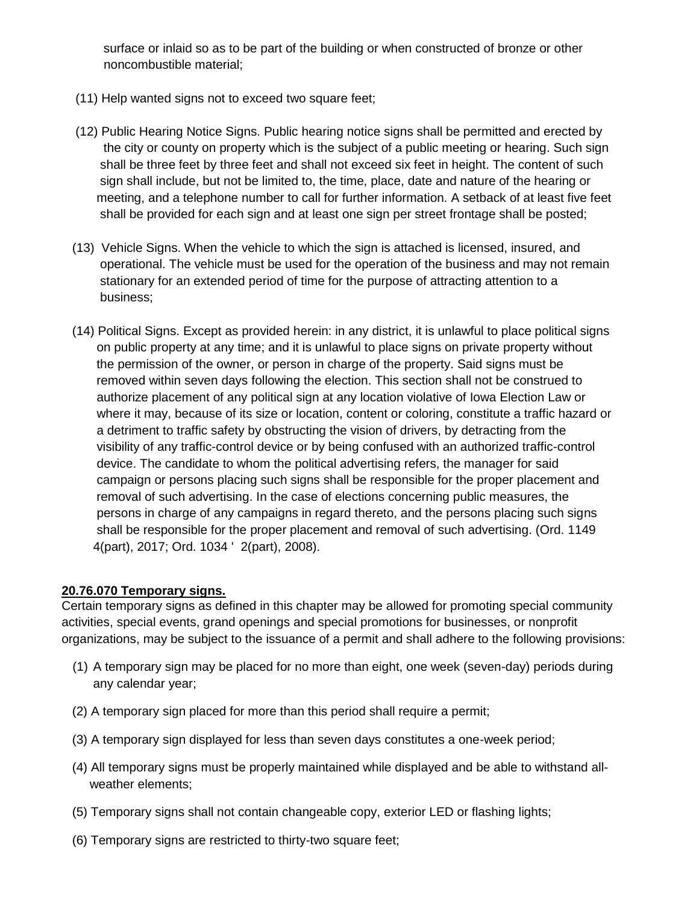surface or inlaid so as to be part of the building or when constructed of bronze or other noncombustible material;

- (11) Help wanted signs not to exceed two square feet;
- (12) Public Hearing Notice Signs. Public hearing notice signs shall be permitted and erected by the city or county on property which is the subject of a public meeting or hearing. Such sign shall be three feet by three feet and shall not exceed six feet in height. The content of such sign shall include, but not be limited to, the time, place, date and nature of the hearing or meeting, and a telephone number to call for further information. A setback of at least five feet shall be provided for each sign and at least one sign per street frontage shall be posted;
- (13) Vehicle Signs. When the vehicle to which the sign is attached is licensed, insured, and operational. The vehicle must be used for the operation of the business and may not remain stationary for an extended period of time for the purpose of attracting attention to a business;
- (14) Political Signs. Except as provided herein: in any district, it is unlawful to place political signs on public property at any time; and it is unlawful to place signs on private property without the permission of the owner, or person in charge of the property. Said signs must be removed within seven days following the election. This section shall not be construed to authorize placement of any political sign at any location violative of Iowa Election Law or where it may, because of its size or location, content or coloring, constitute a traffic hazard or a detriment to traffic safety by obstructing the vision of drivers, by detracting from the visibility of any traffic-control device or by being confused with an authorized traffic-control device. The candidate to whom the political advertising refers, the manager for said campaign or persons placing such signs shall be responsible for the proper placement and removal of such advertising. In the case of elections concerning public measures, the persons in charge of any campaigns in regard thereto, and the persons placing such signs shall be responsible for the proper placement and removal of such advertising. (Ord. 1149 4(part), 2017; Ord. 1034 ' 2(part), 2008).

#### **20.76.070 Temporary signs.**

Certain temporary signs as defined in this chapter may be allowed for promoting special community activities, special events, grand openings and special promotions for businesses, or nonprofit organizations, may be subject to the issuance of a permit and shall adhere to the following provisions:

- (1) A temporary sign may be placed for no more than eight, one week (seven-day) periods during any calendar year;
- (2) A temporary sign placed for more than this period shall require a permit;
- (3) A temporary sign displayed for less than seven days constitutes a one-week period;
- (4) All temporary signs must be properly maintained while displayed and be able to withstand all weather elements;
- (5) Temporary signs shall not contain changeable copy, exterior LED or flashing lights;
- (6) Temporary signs are restricted to thirty-two square feet;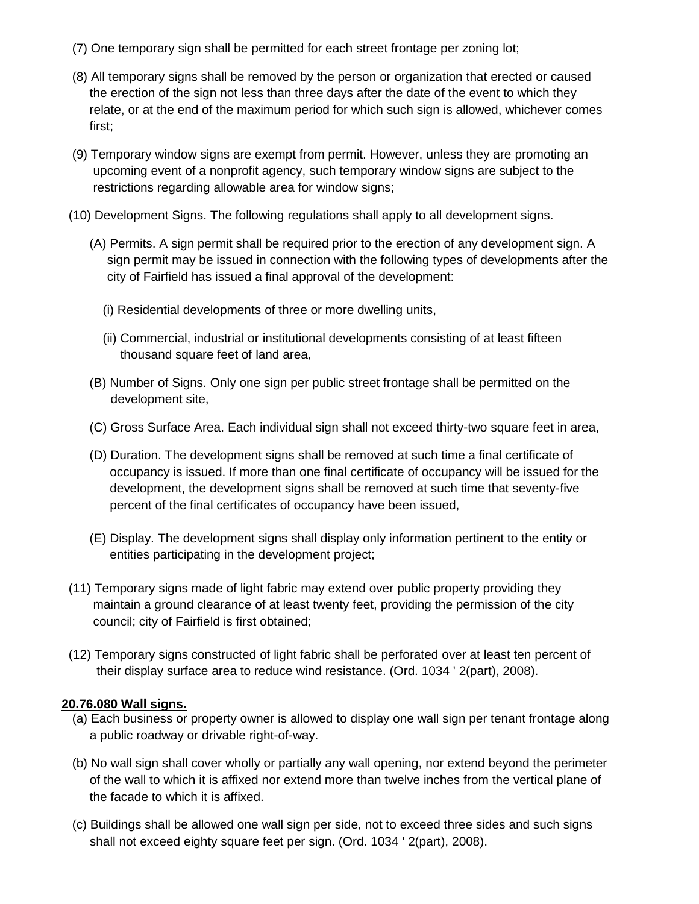- (7) One temporary sign shall be permitted for each street frontage per zoning lot;
- (8) All temporary signs shall be removed by the person or organization that erected or caused the erection of the sign not less than three days after the date of the event to which they relate, or at the end of the maximum period for which such sign is allowed, whichever comes first;
- (9) Temporary window signs are exempt from permit. However, unless they are promoting an upcoming event of a nonprofit agency, such temporary window signs are subject to the restrictions regarding allowable area for window signs;
- (10) Development Signs. The following regulations shall apply to all development signs.
	- (A) Permits. A sign permit shall be required prior to the erection of any development sign. A sign permit may be issued in connection with the following types of developments after the city of Fairfield has issued a final approval of the development:
		- (i) Residential developments of three or more dwelling units,
		- (ii) Commercial, industrial or institutional developments consisting of at least fifteen thousand square feet of land area,
	- (B) Number of Signs. Only one sign per public street frontage shall be permitted on the development site,
	- (C) Gross Surface Area. Each individual sign shall not exceed thirty-two square feet in area,
	- (D) Duration. The development signs shall be removed at such time a final certificate of occupancy is issued. If more than one final certificate of occupancy will be issued for the development, the development signs shall be removed at such time that seventy-five percent of the final certificates of occupancy have been issued,
	- (E) Display. The development signs shall display only information pertinent to the entity or entities participating in the development project;
- (11) Temporary signs made of light fabric may extend over public property providing they maintain a ground clearance of at least twenty feet, providing the permission of the city council; city of Fairfield is first obtained;
- (12) Temporary signs constructed of light fabric shall be perforated over at least ten percent of their display surface area to reduce wind resistance. (Ord. 1034 ' 2(part), 2008).

#### **20.76.080 Wall signs.**

- (a) Each business or property owner is allowed to display one wall sign per tenant frontage along a public roadway or drivable right-of-way.
- (b) No wall sign shall cover wholly or partially any wall opening, nor extend beyond the perimeter of the wall to which it is affixed nor extend more than twelve inches from the vertical plane of the facade to which it is affixed.
- (c) Buildings shall be allowed one wall sign per side, not to exceed three sides and such signs shall not exceed eighty square feet per sign. (Ord. 1034 ' 2(part), 2008).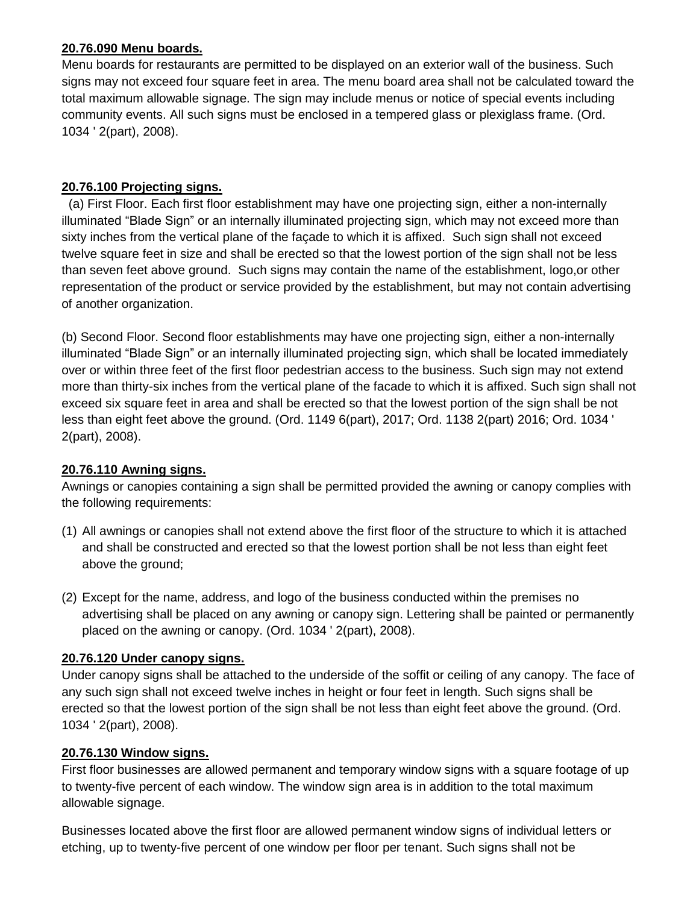## **20.76.090 Menu boards.**

Menu boards for restaurants are permitted to be displayed on an exterior wall of the business. Such signs may not exceed four square feet in area. The menu board area shall not be calculated toward the total maximum allowable signage. The sign may include menus or notice of special events including community events. All such signs must be enclosed in a tempered glass or plexiglass frame. (Ord. 1034 ' 2(part), 2008).

## **20.76.100 Projecting signs.**

 (a) First Floor. Each first floor establishment may have one projecting sign, either a non-internally illuminated "Blade Sign" or an internally illuminated projecting sign, which may not exceed more than sixty inches from the vertical plane of the façade to which it is affixed. Such sign shall not exceed twelve square feet in size and shall be erected so that the lowest portion of the sign shall not be less than seven feet above ground. Such signs may contain the name of the establishment, logo,or other representation of the product or service provided by the establishment, but may not contain advertising of another organization.

(b) Second Floor. Second floor establishments may have one projecting sign, either a non-internally illuminated "Blade Sign" or an internally illuminated projecting sign, which shall be located immediately over or within three feet of the first floor pedestrian access to the business. Such sign may not extend more than thirty-six inches from the vertical plane of the facade to which it is affixed. Such sign shall not exceed six square feet in area and shall be erected so that the lowest portion of the sign shall be not less than eight feet above the ground. (Ord. 1149 6(part), 2017; Ord. 1138 2(part) 2016; Ord. 1034 ' 2(part), 2008).

## **20.76.110 Awning signs.**

Awnings or canopies containing a sign shall be permitted provided the awning or canopy complies with the following requirements:

- (1) All awnings or canopies shall not extend above the first floor of the structure to which it is attached and shall be constructed and erected so that the lowest portion shall be not less than eight feet above the ground;
- (2) Except for the name, address, and logo of the business conducted within the premises no advertising shall be placed on any awning or canopy sign. Lettering shall be painted or permanently placed on the awning or canopy. (Ord. 1034 ' 2(part), 2008).

## **20.76.120 Under canopy signs.**

Under canopy signs shall be attached to the underside of the soffit or ceiling of any canopy. The face of any such sign shall not exceed twelve inches in height or four feet in length. Such signs shall be erected so that the lowest portion of the sign shall be not less than eight feet above the ground. (Ord. 1034 ' 2(part), 2008).

## **20.76.130 Window signs.**

First floor businesses are allowed permanent and temporary window signs with a square footage of up to twenty-five percent of each window. The window sign area is in addition to the total maximum allowable signage.

Businesses located above the first floor are allowed permanent window signs of individual letters or etching, up to twenty-five percent of one window per floor per tenant. Such signs shall not be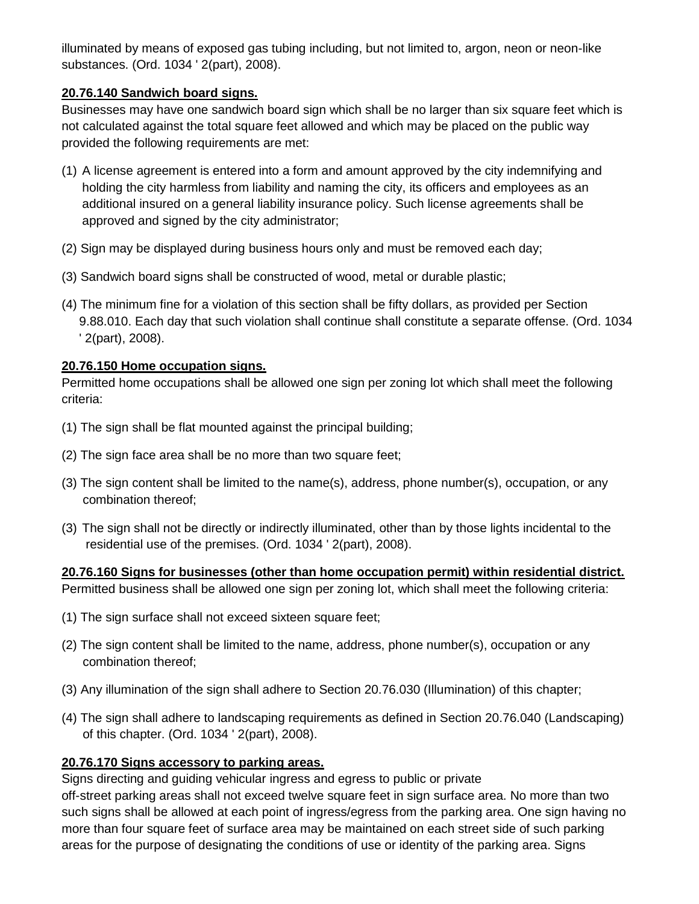illuminated by means of exposed gas tubing including, but not limited to, argon, neon or neon-like substances. (Ord. 1034 ' 2(part), 2008).

## **20.76.140 Sandwich board signs.**

Businesses may have one sandwich board sign which shall be no larger than six square feet which is not calculated against the total square feet allowed and which may be placed on the public way provided the following requirements are met:

- (1) A license agreement is entered into a form and amount approved by the city indemnifying and holding the city harmless from liability and naming the city, its officers and employees as an additional insured on a general liability insurance policy. Such license agreements shall be approved and signed by the city administrator;
- (2) Sign may be displayed during business hours only and must be removed each day;
- (3) Sandwich board signs shall be constructed of wood, metal or durable plastic;
- (4) The minimum fine for a violation of this section shall be fifty dollars, as provided per Section 9.88.010. Each day that such violation shall continue shall constitute a separate offense. (Ord. 1034 ' 2(part), 2008).

## **20.76.150 Home occupation signs.**

Permitted home occupations shall be allowed one sign per zoning lot which shall meet the following criteria:

- (1) The sign shall be flat mounted against the principal building;
- (2) The sign face area shall be no more than two square feet;
- (3) The sign content shall be limited to the name(s), address, phone number(s), occupation, or any combination thereof;
- (3) The sign shall not be directly or indirectly illuminated, other than by those lights incidental to the residential use of the premises. (Ord. 1034 ' 2(part), 2008).

**20.76.160 Signs for businesses (other than home occupation permit) within residential district.**  Permitted business shall be allowed one sign per zoning lot, which shall meet the following criteria:

- (1) The sign surface shall not exceed sixteen square feet;
- (2) The sign content shall be limited to the name, address, phone number(s), occupation or any combination thereof;
- (3) Any illumination of the sign shall adhere to Section 20.76.030 (Illumination) of this chapter;
- (4) The sign shall adhere to landscaping requirements as defined in Section 20.76.040 (Landscaping) of this chapter. (Ord. 1034 ' 2(part), 2008).

## **20.76.170 Signs accessory to parking areas.**

Signs directing and guiding vehicular ingress and egress to public or private

off-street parking areas shall not exceed twelve square feet in sign surface area. No more than two such signs shall be allowed at each point of ingress/egress from the parking area. One sign having no more than four square feet of surface area may be maintained on each street side of such parking areas for the purpose of designating the conditions of use or identity of the parking area. Signs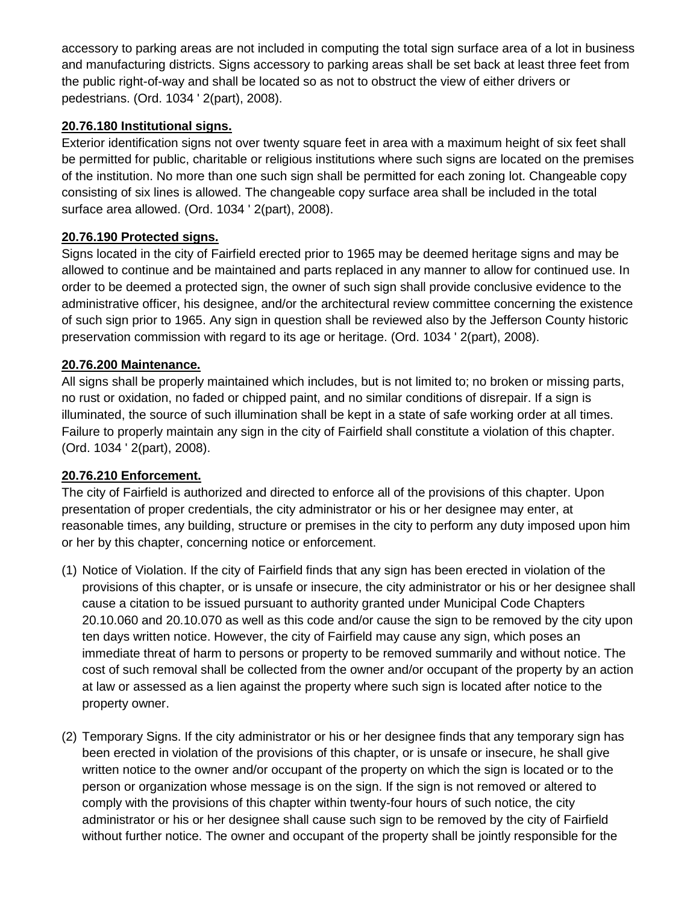accessory to parking areas are not included in computing the total sign surface area of a lot in business and manufacturing districts. Signs accessory to parking areas shall be set back at least three feet from the public right-of-way and shall be located so as not to obstruct the view of either drivers or pedestrians. (Ord. 1034 ' 2(part), 2008).

## **20.76.180 Institutional signs.**

Exterior identification signs not over twenty square feet in area with a maximum height of six feet shall be permitted for public, charitable or religious institutions where such signs are located on the premises of the institution. No more than one such sign shall be permitted for each zoning lot. Changeable copy consisting of six lines is allowed. The changeable copy surface area shall be included in the total surface area allowed. (Ord. 1034 ' 2(part), 2008).

## **20.76.190 Protected signs.**

Signs located in the city of Fairfield erected prior to 1965 may be deemed heritage signs and may be allowed to continue and be maintained and parts replaced in any manner to allow for continued use. In order to be deemed a protected sign, the owner of such sign shall provide conclusive evidence to the administrative officer, his designee, and/or the architectural review committee concerning the existence of such sign prior to 1965. Any sign in question shall be reviewed also by the Jefferson County historic preservation commission with regard to its age or heritage. (Ord. 1034 ' 2(part), 2008).

## **20.76.200 Maintenance.**

All signs shall be properly maintained which includes, but is not limited to; no broken or missing parts, no rust or oxidation, no faded or chipped paint, and no similar conditions of disrepair. If a sign is illuminated, the source of such illumination shall be kept in a state of safe working order at all times. Failure to properly maintain any sign in the city of Fairfield shall constitute a violation of this chapter. (Ord. 1034 ' 2(part), 2008).

## **20.76.210 Enforcement.**

The city of Fairfield is authorized and directed to enforce all of the provisions of this chapter. Upon presentation of proper credentials, the city administrator or his or her designee may enter, at reasonable times, any building, structure or premises in the city to perform any duty imposed upon him or her by this chapter, concerning notice or enforcement.

- (1) Notice of Violation. If the city of Fairfield finds that any sign has been erected in violation of the provisions of this chapter, or is unsafe or insecure, the city administrator or his or her designee shall cause a citation to be issued pursuant to authority granted under Municipal Code Chapters 20.10.060 and 20.10.070 as well as this code and/or cause the sign to be removed by the city upon ten days written notice. However, the city of Fairfield may cause any sign, which poses an immediate threat of harm to persons or property to be removed summarily and without notice. The cost of such removal shall be collected from the owner and/or occupant of the property by an action at law or assessed as a lien against the property where such sign is located after notice to the property owner.
- (2) Temporary Signs. If the city administrator or his or her designee finds that any temporary sign has been erected in violation of the provisions of this chapter, or is unsafe or insecure, he shall give written notice to the owner and/or occupant of the property on which the sign is located or to the person or organization whose message is on the sign. If the sign is not removed or altered to comply with the provisions of this chapter within twenty-four hours of such notice, the city administrator or his or her designee shall cause such sign to be removed by the city of Fairfield without further notice. The owner and occupant of the property shall be jointly responsible for the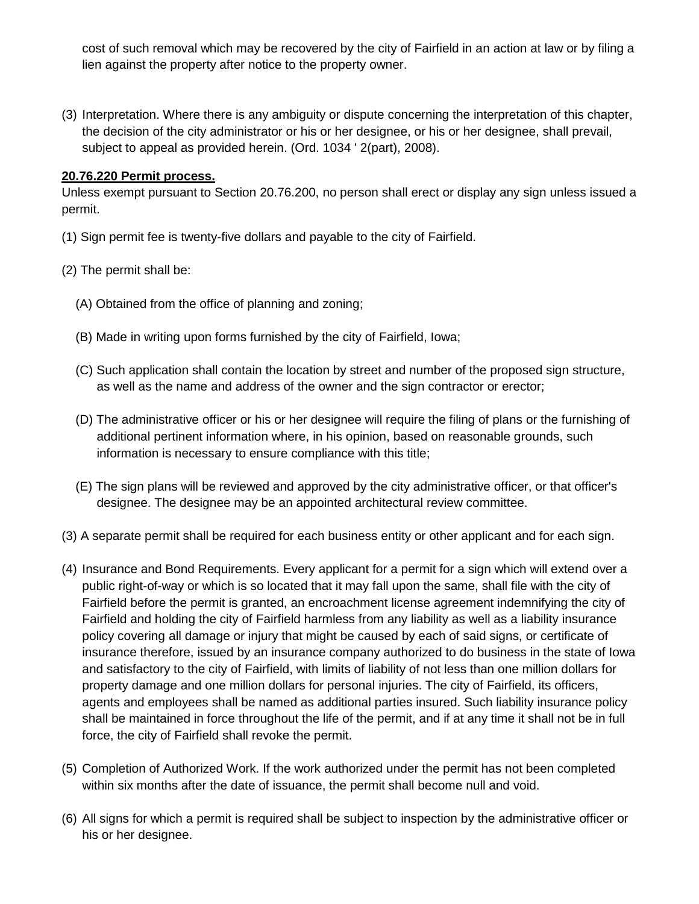cost of such removal which may be recovered by the city of Fairfield in an action at law or by filing a lien against the property after notice to the property owner.

(3) Interpretation. Where there is any ambiguity or dispute concerning the interpretation of this chapter, the decision of the city administrator or his or her designee, or his or her designee, shall prevail, subject to appeal as provided herein. (Ord. 1034 ' 2(part), 2008).

## **20.76.220 Permit process.**

Unless exempt pursuant to Section 20.76.200, no person shall erect or display any sign unless issued a permit.

- (1) Sign permit fee is twenty-five dollars and payable to the city of Fairfield.
- (2) The permit shall be:
	- (A) Obtained from the office of planning and zoning;
	- (B) Made in writing upon forms furnished by the city of Fairfield, Iowa;
	- (C) Such application shall contain the location by street and number of the proposed sign structure, as well as the name and address of the owner and the sign contractor or erector;
	- (D) The administrative officer or his or her designee will require the filing of plans or the furnishing of additional pertinent information where, in his opinion, based on reasonable grounds, such information is necessary to ensure compliance with this title;
	- (E) The sign plans will be reviewed and approved by the city administrative officer, or that officer's designee. The designee may be an appointed architectural review committee.
- (3) A separate permit shall be required for each business entity or other applicant and for each sign.
- (4) Insurance and Bond Requirements. Every applicant for a permit for a sign which will extend over a public right-of-way or which is so located that it may fall upon the same, shall file with the city of Fairfield before the permit is granted, an encroachment license agreement indemnifying the city of Fairfield and holding the city of Fairfield harmless from any liability as well as a liability insurance policy covering all damage or injury that might be caused by each of said signs, or certificate of insurance therefore, issued by an insurance company authorized to do business in the state of Iowa and satisfactory to the city of Fairfield, with limits of liability of not less than one million dollars for property damage and one million dollars for personal injuries. The city of Fairfield, its officers, agents and employees shall be named as additional parties insured. Such liability insurance policy shall be maintained in force throughout the life of the permit, and if at any time it shall not be in full force, the city of Fairfield shall revoke the permit.
- (5) Completion of Authorized Work. If the work authorized under the permit has not been completed within six months after the date of issuance, the permit shall become null and void.
- (6) All signs for which a permit is required shall be subject to inspection by the administrative officer or his or her designee.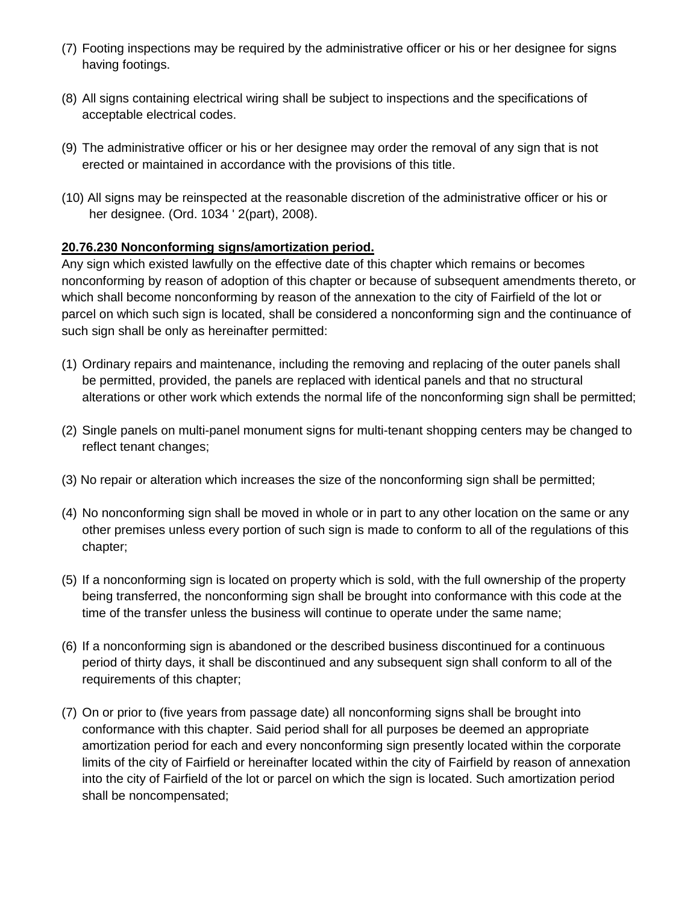- (7) Footing inspections may be required by the administrative officer or his or her designee for signs having footings.
- (8) All signs containing electrical wiring shall be subject to inspections and the specifications of acceptable electrical codes.
- (9) The administrative officer or his or her designee may order the removal of any sign that is not erected or maintained in accordance with the provisions of this title.
- (10) All signs may be reinspected at the reasonable discretion of the administrative officer or his or her designee. (Ord. 1034 ' 2(part), 2008).

## **20.76.230 Nonconforming signs/amortization period.**

Any sign which existed lawfully on the effective date of this chapter which remains or becomes nonconforming by reason of adoption of this chapter or because of subsequent amendments thereto, or which shall become nonconforming by reason of the annexation to the city of Fairfield of the lot or parcel on which such sign is located, shall be considered a nonconforming sign and the continuance of such sign shall be only as hereinafter permitted:

- (1) Ordinary repairs and maintenance, including the removing and replacing of the outer panels shall be permitted, provided, the panels are replaced with identical panels and that no structural alterations or other work which extends the normal life of the nonconforming sign shall be permitted;
- (2) Single panels on multi-panel monument signs for multi-tenant shopping centers may be changed to reflect tenant changes;
- (3) No repair or alteration which increases the size of the nonconforming sign shall be permitted;
- (4) No nonconforming sign shall be moved in whole or in part to any other location on the same or any other premises unless every portion of such sign is made to conform to all of the regulations of this chapter;
- (5) If a nonconforming sign is located on property which is sold, with the full ownership of the property being transferred, the nonconforming sign shall be brought into conformance with this code at the time of the transfer unless the business will continue to operate under the same name;
- (6) If a nonconforming sign is abandoned or the described business discontinued for a continuous period of thirty days, it shall be discontinued and any subsequent sign shall conform to all of the requirements of this chapter;
- (7) On or prior to (five years from passage date) all nonconforming signs shall be brought into conformance with this chapter. Said period shall for all purposes be deemed an appropriate amortization period for each and every nonconforming sign presently located within the corporate limits of the city of Fairfield or hereinafter located within the city of Fairfield by reason of annexation into the city of Fairfield of the lot or parcel on which the sign is located. Such amortization period shall be noncompensated;